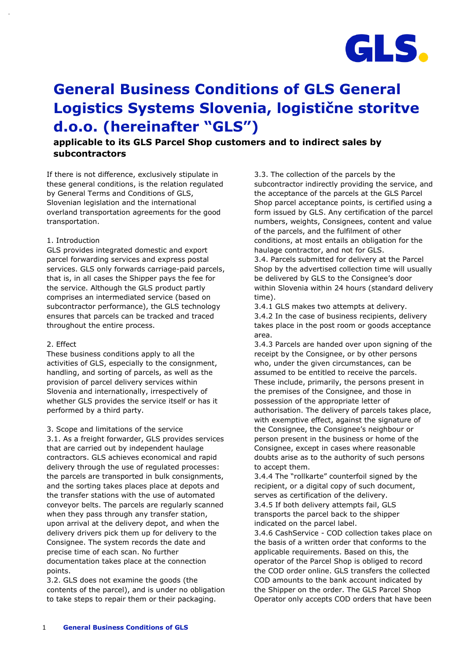

# **General Business Conditions of GLS General Logistics Systems Slovenia, logistične storitve d.o.o. (hereinafter "GLS")**

# **applicable to its GLS Parcel Shop customers and to indirect sales by subcontractors**

If there is not difference, exclusively stipulate in these general conditions, is the relation regulated by General Terms and Conditions of GLS, Slovenian legislation and the international overland transportation agreements for the good transportation.

# 1. Introduction

GLS provides integrated domestic and export parcel forwarding services and express postal services. GLS only forwards carriage-paid parcels, that is, in all cases the Shipper pays the fee for the service. Although the GLS product partly comprises an intermediated service (based on subcontractor performance), the GLS technology ensures that parcels can be tracked and traced throughout the entire process.

# 2. Effect

These business conditions apply to all the activities of GLS, especially to the consignment, handling, and sorting of parcels, as well as the provision of parcel delivery services within Slovenia and internationally, irrespectively of whether GLS provides the service itself or has it performed by a third party.

3. Scope and limitations of the service

3.1. As a freight forwarder, GLS provides services that are carried out by independent haulage contractors. GLS achieves economical and rapid delivery through the use of regulated processes: the parcels are transported in bulk consignments, and the sorting takes places place at depots and the transfer stations with the use of automated conveyor belts. The parcels are regularly scanned when they pass through any transfer station, upon arrival at the delivery depot, and when the delivery drivers pick them up for delivery to the Consignee. The system records the date and precise time of each scan. No further documentation takes place at the connection points.

3.2. GLS does not examine the goods (the contents of the parcel), and is under no obligation to take steps to repair them or their packaging.

3.3. The collection of the parcels by the subcontractor indirectly providing the service, and the acceptance of the parcels at the GLS Parcel Shop parcel acceptance points, is certified using a form issued by GLS. Any certification of the parcel numbers, weights, Consignees, content and value of the parcels, and the fulfilment of other conditions, at most entails an obligation for the haulage contractor, and not for GLS.

3.4. Parcels submitted for delivery at the Parcel Shop by the advertised collection time will usually be delivered by GLS to the Consignee's door within Slovenia within 24 hours (standard delivery time).

3.4.1 GLS makes two attempts at delivery. 3.4.2 In the case of business recipients, delivery takes place in the post room or goods acceptance area.

3.4.3 Parcels are handed over upon signing of the receipt by the Consignee, or by other persons who, under the given circumstances, can be assumed to be entitled to receive the parcels. These include, primarily, the persons present in the premises of the Consignee, and those in possession of the appropriate letter of authorisation. The delivery of parcels takes place, with exemptive effect, against the signature of the Consignee, the Consignee's neighbour or person present in the business or home of the Consignee, except in cases where reasonable doubts arise as to the authority of such persons to accept them.

3.4.4 The "rollkarte" counterfoil signed by the recipient, or a digital copy of such document, serves as certification of the delivery. 3.4.5 If both delivery attempts fail, GLS transports the parcel back to the shipper indicated on the parcel label.

3.4.6 CashService - COD collection takes place on the basis of a written order that conforms to the applicable requirements. Based on this, the operator of the Parcel Shop is obliged to record the COD order online. GLS transfers the collected COD amounts to the bank account indicated by the Shipper on the order. The GLS Parcel Shop Operator only accepts COD orders that have been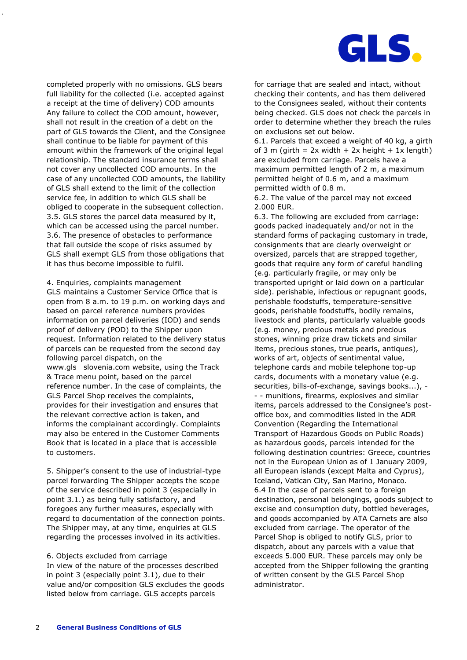

completed properly with no omissions. GLS bears full liability for the collected (i.e. accepted against a receipt at the time of delivery) COD amounts Any failure to collect the COD amount, however, shall not result in the creation of a debt on the part of GLS towards the Client, and the Consignee shall continue to be liable for payment of this amount within the framework of the original legal relationship. The standard insurance terms shall not cover any uncollected COD amounts. In the case of any uncollected COD amounts, the liability of GLS shall extend to the limit of the collection service fee, in addition to which GLS shall be obliged to cooperate in the subsequent collection. 3.5. GLS stores the parcel data measured by it, which can be accessed using the parcel number. 3.6. The presence of obstacles to performance that fall outside the scope of risks assumed by GLS shall exempt GLS from those obligations that it has thus become impossible to fulfil.

4. Enquiries, complaints management GLS maintains a Customer Service Office that is open from 8 a.m. to 19 p.m. on working days and based on parcel reference numbers provides information on parcel deliveries (IOD) and sends proof of delivery (POD) to the Shipper upon request. Information related to the delivery status of parcels can be requested from the second day following parcel dispatch, on the www.gls slovenia.com website, using the Track & Trace menu point, based on the parcel reference number. In the case of complaints, the GLS Parcel Shop receives the complaints, provides for their investigation and ensures that the relevant corrective action is taken, and informs the complainant accordingly. Complaints may also be entered in the Customer Comments Book that is located in a place that is accessible to customers.

5. Shipper's consent to the use of industrial-type parcel forwarding The Shipper accepts the scope of the service described in point 3 (especially in point 3.1.) as being fully satisfactory, and foregoes any further measures, especially with regard to documentation of the connection points. The Shipper may, at any time, enquiries at GLS regarding the processes involved in its activities.

#### 6. Objects excluded from carriage

In view of the nature of the processes described in point 3 (especially point 3.1), due to their value and/or composition GLS excludes the goods listed below from carriage. GLS accepts parcels

for carriage that are sealed and intact, without checking their contents, and has them delivered to the Consignees sealed, without their contents being checked. GLS does not check the parcels in order to determine whether they breach the rules on exclusions set out below.

6.1. Parcels that exceed a weight of 40 kg, a girth of 3 m (girth =  $2x$  width +  $2x$  height +  $1x$  length) are excluded from carriage. Parcels have a maximum permitted length of 2 m, a maximum permitted height of 0.6 m, and a maximum permitted width of 0.8 m.

6.2. The value of the parcel may not exceed 2.000 EUR.

6.3. The following are excluded from carriage: goods packed inadequately and/or not in the standard forms of packaging customary in trade, consignments that are clearly overweight or oversized, parcels that are strapped together, goods that require any form of careful handling (e.g. particularly fragile, or may only be transported upright or laid down on a particular side). perishable, infectious or repugnant goods, perishable foodstuffs, temperature-sensitive goods, perishable foodstuffs, bodily remains, livestock and plants, particularly valuable goods (e.g. money, precious metals and precious stones, winning prize draw tickets and similar items, precious stones, true pearls, antiques), works of art, objects of sentimental value, telephone cards and mobile telephone top-up cards, documents with a monetary value (e.g. securities, bills-of-exchange, savings books...), - - - munitions, firearms, explosives and similar items, parcels addressed to the Consignee's postoffice box, and commodities listed in the ADR Convention (Regarding the International Transport of Hazardous Goods on Public Roads) as hazardous goods, parcels intended for the following destination countries: Greece, countries not in the European Union as of 1 January 2009, all European islands (except Malta and Cyprus), Iceland, Vatican City, San Marino, Monaco. 6.4 In the case of parcels sent to a foreign destination, personal belongings, goods subject to excise and consumption duty, bottled beverages, and goods accompanied by ATA Carnets are also excluded from carriage. The operator of the Parcel Shop is obliged to notify GLS, prior to dispatch, about any parcels with a value that exceeds 5.000 EUR. These parcels may only be accepted from the Shipper following the granting of written consent by the GLS Parcel Shop administrator.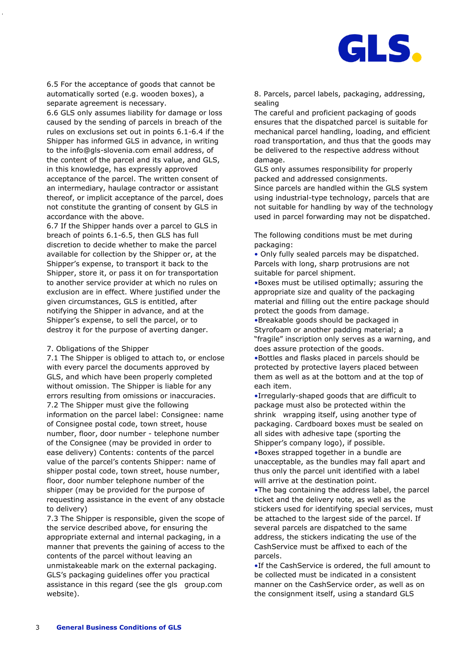

6.5 For the acceptance of goods that cannot be automatically sorted (e.g. wooden boxes), a separate agreement is necessary.

6.6 GLS only assumes liability for damage or loss caused by the sending of parcels in breach of the rules on exclusions set out in points 6.1-6.4 if the Shipper has informed GLS in advance, in writing to the info@gls-slovenia.com email address, of the content of the parcel and its value, and GLS, in this knowledge, has expressly approved acceptance of the parcel. The written consent of an intermediary, haulage contractor or assistant thereof, or implicit acceptance of the parcel, does not constitute the granting of consent by GLS in accordance with the above.

6.7 If the Shipper hands over a parcel to GLS in breach of points 6.1-6.5, then GLS has full discretion to decide whether to make the parcel available for collection by the Shipper or, at the Shipper's expense, to transport it back to the Shipper, store it, or pass it on for transportation to another service provider at which no rules on exclusion are in effect. Where justified under the given circumstances, GLS is entitled, after notifying the Shipper in advance, and at the Shipper's expense, to sell the parcel, or to destroy it for the purpose of averting danger.

#### 7. Obligations of the Shipper

7.1 The Shipper is obliged to attach to, or enclose with every parcel the documents approved by GLS, and which have been properly completed without omission. The Shipper is liable for any errors resulting from omissions or inaccuracies. 7.2 The Shipper must give the following information on the parcel label: Consignee: name of Consignee postal code, town street, house number, floor, door number - telephone number of the Consignee (may be provided in order to ease delivery) Contents: contents of the parcel value of the parcel's contents Shipper: name of shipper postal code, town street, house number, floor, door number telephone number of the shipper (may be provided for the purpose of requesting assistance in the event of any obstacle to delivery)

7.3 The Shipper is responsible, given the scope of the service described above, for ensuring the appropriate external and internal packaging, in a manner that prevents the gaining of access to the contents of the parcel without leaving an unmistakeable mark on the external packaging. GLS's packaging guidelines offer you practical assistance in this regard (see the gls group.com website).

8. Parcels, parcel labels, packaging, addressing, sealing

The careful and proficient packaging of goods ensures that the dispatched parcel is suitable for mechanical parcel handling, loading, and efficient road transportation, and thus that the goods may be delivered to the respective address without damage.

GLS only assumes responsibility for properly packed and addressed consignments. Since parcels are handled within the GLS system using industrial-type technology, parcels that are not suitable for handling by way of the technology used in parcel forwarding may not be dispatched.

The following conditions must be met during packaging:

• Only fully sealed parcels may be dispatched. Parcels with long, sharp protrusions are not suitable for parcel shipment.

•Boxes must be utilised optimally; assuring the appropriate size and quality of the packaging material and filling out the entire package should protect the goods from damage.

•Breakable goods should be packaged in Styrofoam or another padding material; a "fragile" inscription only serves as a warning, and does assure protection of the goods.

•Bottles and flasks placed in parcels should be protected by protective layers placed between them as well as at the bottom and at the top of each item.

•Irregularly-shaped goods that are difficult to package must also be protected within the shrink wrapping itself, using another type of packaging. Cardboard boxes must be sealed on all sides with adhesive tape (sporting the Shipper's company logo), if possible.

•Boxes strapped together in a bundle are unacceptable, as the bundles may fall apart and thus only the parcel unit identified with a label will arrive at the destination point.

•The bag containing the address label, the parcel ticket and the delivery note, as well as the stickers used for identifying special services, must be attached to the largest side of the parcel. If several parcels are dispatched to the same address, the stickers indicating the use of the CashService must be affixed to each of the parcels.

•If the CashService is ordered, the full amount to be collected must be indicated in a consistent manner on the CashService order, as well as on the consignment itself, using a standard GLS